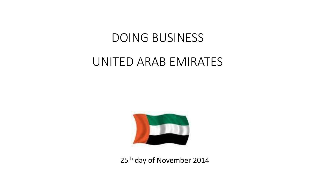# DOING BUSINESS

# UNITED ARAB EMIRATES



25<sup>th</sup> day of November 2014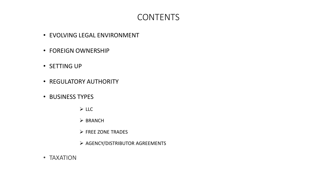#### CONTENTS

- EVOLVING LEGAL ENVIRONMENT
- FOREIGN OWNERSHIP
- SETTING UP
- REGULATORY AUTHORITY
- BUSINESS TYPES
	- LLC
	- $\triangleright$  BRANCH
	- $\triangleright$  FREE ZONE TRADES
	- $\triangleright$  AGENCY/DISTRIBUTOR AGREEMENTS
- TAXATION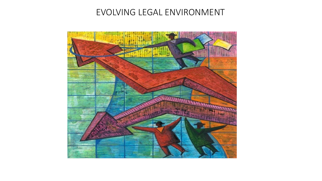#### EVOLVING LEGAL ENVIRONMENT

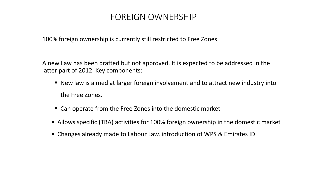#### FOREIGN OWNERSHIP

100% foreign ownership is currently still restricted to Free Zones

A new Law has been drafted but not approved. It is expected to be addressed in the latter part of 2012. Key components:

- New law is aimed at larger foreign involvement and to attract new industry into the Free Zones.
- Can operate from the Free Zones into the domestic market
- Allows specific (TBA) activities for 100% foreign ownership in the domestic market
- Changes already made to Labour Law, introduction of WPS & Emirates ID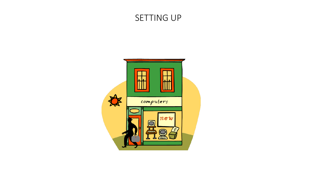#### SETTING UP

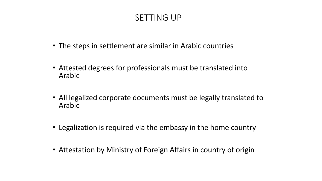## SETTING UP

- The steps in settlement are similar in Arabic countries
- Attested degrees for professionals must be translated into Arabic
- All legalized corporate documents must be legally translated to Arabic
- Legalization is required via the embassy in the home country
- Attestation by Ministry of Foreign Affairs in country of origin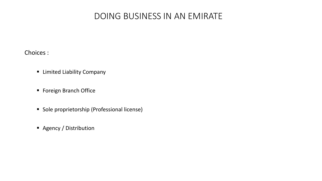#### DOING BUSINESS IN AN EMIRATE

Choices :

- **E** Limited Liability Company
- **Foreign Branch Office**
- **Sole proprietorship (Professional license)**
- **Agency / Distribution**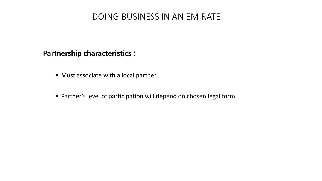#### DOING BUSINESS IN AN EMIRATE

#### **Partnership characteristics** :

- Must associate with a local partner
- Partner's level of participation will depend on chosen legal form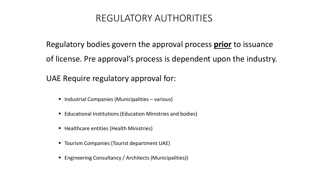# REGULATORY AUTHORITIES

Regulatory bodies govern the approval process **prior** to issuance of license. Pre approval's process is dependent upon the industry.

UAE Require regulatory approval for:

- $\blacksquare$  Industrial Companies (Municipalities various)
- Educational Institutions (Education Ministries and bodies)
- Healthcare entities (Health Ministries)
- Tourism Companies (Tourist department UAE)
- Engineering Consultancy / Architects (Municipalities))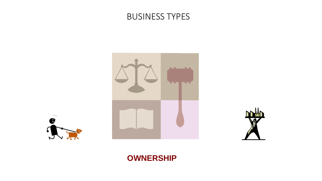







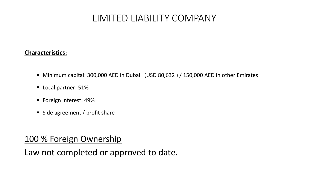# LIMITED LIABILITY COMPANY

#### **Characteristics:**

- Minimum capital: 300,000 AED in Dubai (USD 80,632 ) / 150,000 AED in other Emirates
- **Local partner: 51%**
- Foreign interest: 49%
- Side agreement / profit share

#### 100 % Foreign Ownership

Law not completed or approved to date.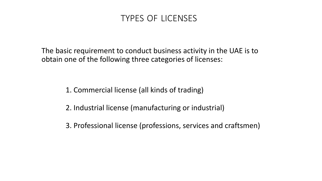#### TYPES OF LICENSES

The basic requirement to conduct business activity in the UAE is to obtain one of the following three categories of licenses:

1. Commercial license (all kinds of trading)

2. Industrial license (manufacturing or industrial)

3. Professional license (professions, services and craftsmen)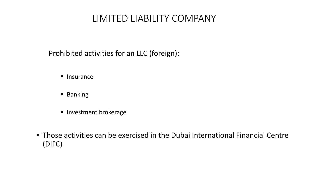# LIMITED LIABILITY COMPANY

Prohibited activities for an LLC (foreign):

- $\blacksquare$  Insurance
- **Banking**
- **Investment brokerage**
- Those activities can be exercised in the Dubai International Financial Centre (DIFC)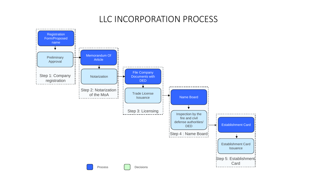#### LLC INCORPORATION PROCESS

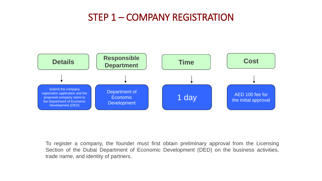# STEP 1 – COMPANY REGISTRATION



To register a company, the founder must first obtain preliminary approval from the Licensing Section of the Dubai Department of Economic Development (DED) on the business activities, trade name, and identity of partners.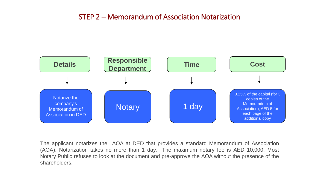#### STEP 2 – Memorandum of Association Notarization



The applicant notarizes the AOA at DED that provides a standard Memorandum of Association (AOA). Notarization takes no more than 1 day. The maximum notary fee is AED 10,000. Most Notary Public refuses to look at the document and pre-approve the AOA without the presence of the shareholders.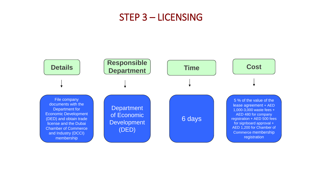## STEP 3 – LICENSING

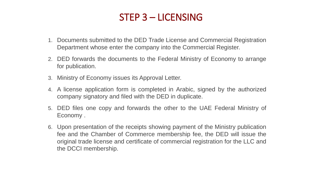# STEP 3 – LICENSING

- 1. Documents submitted to the DED Trade License and Commercial Registration Department whose enter the company into the Commercial Register.
- 2. DED forwards the documents to the Federal Ministry of Economy to arrange for publication.
- 3. Ministry of Economy issues its Approval Letter.
- 4. A license application form is completed in Arabic, signed by the authorized company signatory and filed with the DED in duplicate.
- 5. DED files one copy and forwards the other to the UAE Federal Ministry of Economy .
- 6. Upon presentation of the receipts showing payment of the Ministry publication fee and the Chamber of Commerce membership fee, the DED will issue the original trade license and certificate of commercial registration for the LLC and the DCCI membership.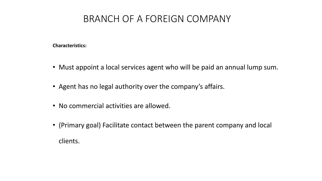# BRANCH OF A FOREIGN COMPANY

#### **Characteristics:**

- Must appoint a local services agent who will be paid an annual lump sum.
- Agent has no legal authority over the company's affairs.
- No commercial activities are allowed.
- (Primary goal) Facilitate contact between the parent company and local clients.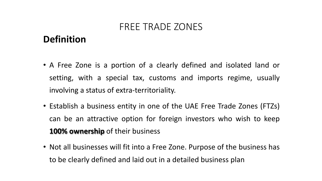# **Definition**

- A Free Zone is a portion of a clearly defined and isolated land or setting, with a special tax, customs and imports regime, usually involving a status of extra-territoriality.
- Establish a business entity in one of the UAE Free Trade Zones (FTZs) can be an attractive option for foreign investors who wish to keep **100% ownership** of their business
- Not all businesses will fit into a Free Zone. Purpose of the business has to be clearly defined and laid out in a detailed business plan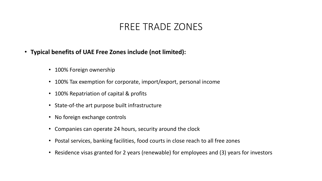- **Typical benefits of UAE Free Zones include (not limited):**
	- 100% Foreign ownership
	- 100% Tax exemption for corporate, import/export, personal income
	- 100% Repatriation of capital & profits
	- State-of-the art purpose built infrastructure
	- No foreign exchange controls
	- Companies can operate 24 hours, security around the clock
	- Postal services, banking facilities, food courts in close reach to all free zones
	- Residence visas granted for 2 years (renewable) for employees and (3) years for investors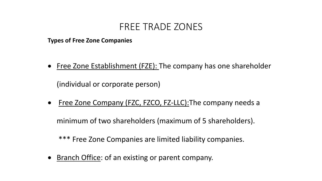**Types of Free Zone Companies**

Free Zone Establishment (FZE): The company has one shareholder

(individual or corporate person)

• Free Zone Company (FZC, FZCO, FZ-LLC): The company needs a

minimum of two shareholders (maximum of 5 shareholders).

\*\*\* Free Zone Companies are limited liability companies.

• Branch Office: of an existing or parent company.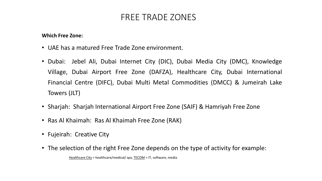**Which Free Zone:**

- UAE has a matured Free Trade Zone environment.
- Dubai: Jebel Ali, Dubai Internet City (DIC), Dubai Media City (DMC), Knowledge Village, Dubai Airport Free Zone (DAFZA), Healthcare City, Dubai International Financial Centre (DIFC), Dubai Multi Metal Commodities (DMCC) & Jumeirah Lake Towers (JLT)
- Sharjah: Sharjah International Airport Free Zone (SAIF) & Hamriyah Free Zone
- Ras Al Khaimah: Ras Al Khaimah Free Zone (RAK)
- Fujeirah: Creative City
- The selection of the right Free Zone depends on the type of activity for example:

Healthcare City = healthcare/medical/spa, TECOM = IT, software, media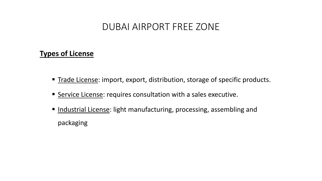# DUBAI AIRPORT FREE ZONE

#### **Types of License**

- Trade License: import, export, distribution, storage of specific products.
- Service License: requires consultation with a sales executive.
- Industrial License: light manufacturing, processing, assembling and packaging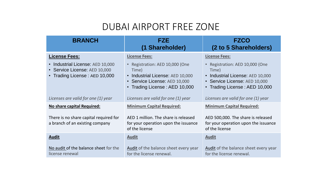# DUBAI AIRPORT FREE ZONE

| <b>BRANCH</b>                                                                                      | FZE<br>(1 Shareholder)                                                                                                                         | <b>FZCO</b><br>(2 to 5 Shareholders)                                                                                                           |
|----------------------------------------------------------------------------------------------------|------------------------------------------------------------------------------------------------------------------------------------------------|------------------------------------------------------------------------------------------------------------------------------------------------|
| <b>License Fees:</b>                                                                               | <b>License Fees:</b>                                                                                                                           | <b>License Fees:</b>                                                                                                                           |
| • Industrial License: AED 10,000<br>• Service License: AED 10,000<br>• Trading License: AED 10,000 | • Registration: AED 10,000 (One<br>Time)<br>• Industrial License: AED 10,000<br>• Service License: AED 10,000<br>• Trading License: AED 10,000 | • Registration: AED 10,000 (One<br>Time)<br>• Industrial License: AED 10,000<br>• Service License: AED 10,000<br>• Trading License: AED 10,000 |
| Licenses are valid for one (1) year                                                                | Licenses are valid for one (1) year                                                                                                            | Licenses are valid for one (1) year                                                                                                            |
| No share capital Required:                                                                         | <b>Minimum Capital Required:</b>                                                                                                               | <b>Minimum Capital Required:</b>                                                                                                               |
| There is no share capital required for<br>a branch of an existing company                          | AED 1 million. The share is released<br>for your operation upon the issuance<br>of the license                                                 | AED 500,000. The share is released<br>for your operation upon the issuance<br>of the license                                                   |
| <b>Audit</b>                                                                                       | <b>Audit</b>                                                                                                                                   | <b>Audit</b>                                                                                                                                   |
| No audit of the balance sheet for the<br>license renewal                                           | Audit of the balance sheet every year<br>for the license renewal.                                                                              | Audit of the balance sheet every year<br>for the license renewal.                                                                              |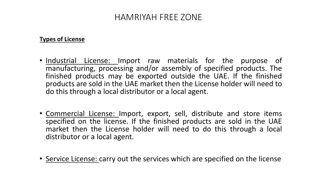#### HAMRIYAH FREE ZONE

#### **Types of License**

- Industrial License: Import raw materials for the purpose of manufacturing, processing and/or assembly of specified products. The finished products may be exported outside the UAE. If the finished products are sold in the UAE market then the License holder will need to do this through a local distributor or a local agent.
- Commercial License: Import, export, sell, distribute and store items specified on the license. If the finished products are sold in the UAE market then the License holder will need to do this through a local distributor or a local agent.
- Service License: carry out the services which are specified on the license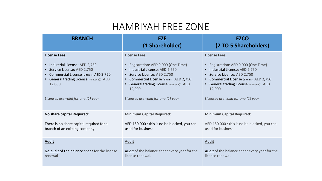# HAMRIYAH FREE ZONE

| <b>BRANCH</b>                                                                                                                                                                                              | <b>FZE</b><br>(1 Shareholder)                                                                                                                                                                                                                | <b>FZCO</b><br>(2 TO 5 Shareholders)                                                                                                                                                                                                             |
|------------------------------------------------------------------------------------------------------------------------------------------------------------------------------------------------------------|----------------------------------------------------------------------------------------------------------------------------------------------------------------------------------------------------------------------------------------------|--------------------------------------------------------------------------------------------------------------------------------------------------------------------------------------------------------------------------------------------------|
| <b>License Fees:</b>                                                                                                                                                                                       | <b>License Fees:</b>                                                                                                                                                                                                                         | <b>License Fees:</b>                                                                                                                                                                                                                             |
| • Industrial License: AED 2,750<br>• Service License: AED 2,750<br>• Commercial License (5 items): AED 2,750<br>• General trading License (+5 items): AED<br>12,000<br>Licenses are valid for one (1) year | Registration: AED 9,000 (One Time)<br>Industrial License: AED 2,750<br>• Service License: AED 2,750<br>Commercial License (5 items): AED 2,750<br>• General trading License (+5 items): AED<br>12,000<br>Licenses are valid for one (1) year | • Registration: AED 9,000 (One Time)<br>• Industrial License: AED 2,750<br>• Service License: AED 2,750<br>Commercial License (5 items): AED 2,750<br>• General trading License (+5 items): AED<br>12,000<br>Licenses are valid for one (1) year |
|                                                                                                                                                                                                            |                                                                                                                                                                                                                                              |                                                                                                                                                                                                                                                  |
| No share capital Required:                                                                                                                                                                                 | <b>Minimum Capital Required:</b>                                                                                                                                                                                                             | <b>Minimum Capital Required:</b>                                                                                                                                                                                                                 |
| There is no share capital required for a<br>branch of an existing company                                                                                                                                  | AED 150,000 : this is no be blocked, you can<br>used for business                                                                                                                                                                            | AED 150,000 : this is no be blocked, you can<br>used for business                                                                                                                                                                                |
| <b>Audit</b>                                                                                                                                                                                               | <b>Audit</b>                                                                                                                                                                                                                                 | <b>Audit</b>                                                                                                                                                                                                                                     |
| No audit of the balance sheet for the license<br>renewal                                                                                                                                                   | Audit of the balance sheet every year for the<br>license renewal.                                                                                                                                                                            | Audit of the balance sheet every year for the<br>license renewal.                                                                                                                                                                                |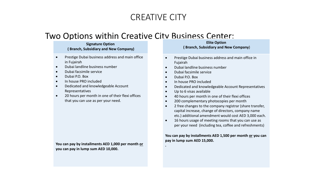## CREATIVE CITY

#### Two Options within Creative City Business Center:

#### **Signature Option ( Branch, Subsidiary and New Company)**

- Prestige Dubai business address and main office in Fujairah
- Dubai landline business number
- Dubai facsimile service
- Dubai P.O. Box
- In house PRO included
- Dedicated and knowledgeable Account Representatives
- 20 hours per month in one of their flexi offices that you can use as per your need.

**You can pay by installments AED 1,000 per month or you can pay in lump sum AED 10,000.**

#### **Elite Option ( Branch, Subsidiary and New Company)**

- **•** Prestige Dubai business address and main office in Fujairah
- Dubai landline business number
- Dubai facsimile service
- Dubai P.O. Box

**.**

- In house PRO included
- Dedicated and knowledgeable Account Representatives
- Up to 6 visas available
- 40 hours per month in one of their flexi offices
- 200 complementary photocopies per month
- 2 free changes to the company registrar (share transfer, capital increase, change of directors, company name etc.) additional amendment would cost AED 3,000 each.
- 16 hours usage of meeting rooms that you can use as per your need (including tea, coffee and refreshments)

**You can pay by installments AED 1,500 per month or you can pay in lump sum AED 15,000.**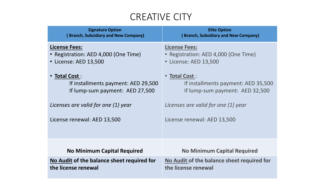# CREATIVE CITY

| <b>Signature Option</b>                    | <b>Elite Option</b>                         |
|--------------------------------------------|---------------------------------------------|
| (Branch, Subsidiary and New Company)       | <b>(Branch, Subsidiary and New Company)</b> |
| <b>License Fees:</b>                       | <b>License Fees:</b>                        |
| • Registration: AED 4,000 (One Time)       | Registration: AED 4,000 (One Time)          |
| • License: AED 13,500                      | • License: AED 13,500                       |
| • Total Cost :                             | • Total Cost:                               |
| If installments payment: AED 29,500        | If installments payment: AED 35,500         |
| If lump-sum payment: AED 27,500            | If lump-sum payment: AED 32,500             |
| Licenses are valid for one (1) year        | Licenses are valid for one (1) year         |
| License renewal: AED 13,500                | License renewal: AED 13,500                 |
|                                            |                                             |
| <b>No Minimum Capital Required</b>         | <b>No Minimum Capital Required</b>          |
| No Audit of the balance sheet required for | No Audit of the balance sheet required for  |
| the license renewal                        | the license renewal                         |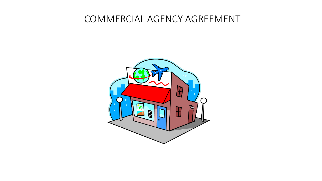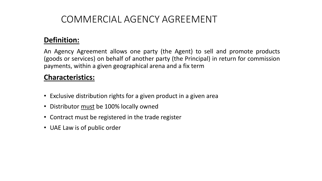#### **Definition:**

An Agency Agreement allows one party (the Agent) to sell and promote products (goods or services) on behalf of another party (the Principal) in return for commission payments, within a given geographical arena and a fix term

#### **Characteristics:**

- Exclusive distribution rights for a given product in a given area
- Distributor must be 100% locally owned
- Contract must be registered in the trade register
- UAE Law is of public order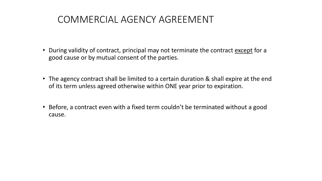- During validity of contract, principal may not terminate the contract except for a good cause or by mutual consent of the parties.
- The agency contract shall be limited to a certain duration & shall expire at the end of its term unless agreed otherwise within ONE year prior to expiration.
- Before, a contract even with a fixed term couldn't be terminated without a good cause.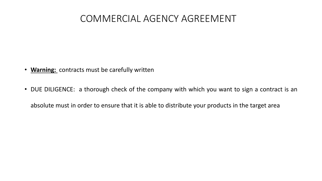- **Warning:** contracts must be carefully written
- DUE DILIGENCE: a thorough check of the company with which you want to sign a contract is an absolute must in order to ensure that it is able to distribute your products in the target area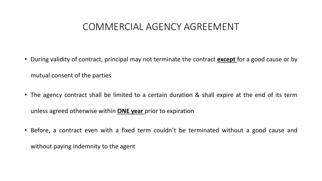- During validity of contract, principal may not terminate the contract **except** for a good cause or by mutual consent of the parties
- The agency contract shall be limited to a certain duration & shall expire at the end of its term unless agreed otherwise within **ONE year** prior to expiration
- Before, a contract even with a fixed term couldn't be terminated without a good cause and without paying indemnity to the agent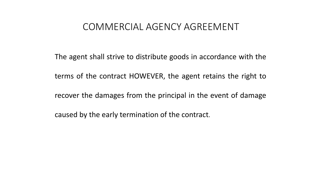The agent shall strive to distribute goods in accordance with the

terms of the contract HOWEVER, the agent retains the right to

recover the damages from the principal in the event of damage

caused by the early termination of the contract.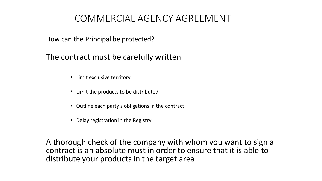How can the Principal be protected?

The contract must be carefully written

- Limit exclusive territory
- Limit the products to be distributed
- Outline each party's obligations in the contract
- Delay registration in the Registry

A thorough check of the company with whom you want to sign a contract is an absolute must in order to ensure that it is able to distribute your products in the target area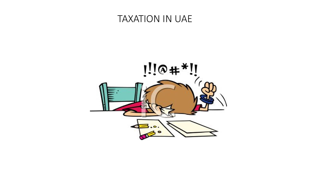## TAXATION IN UAE